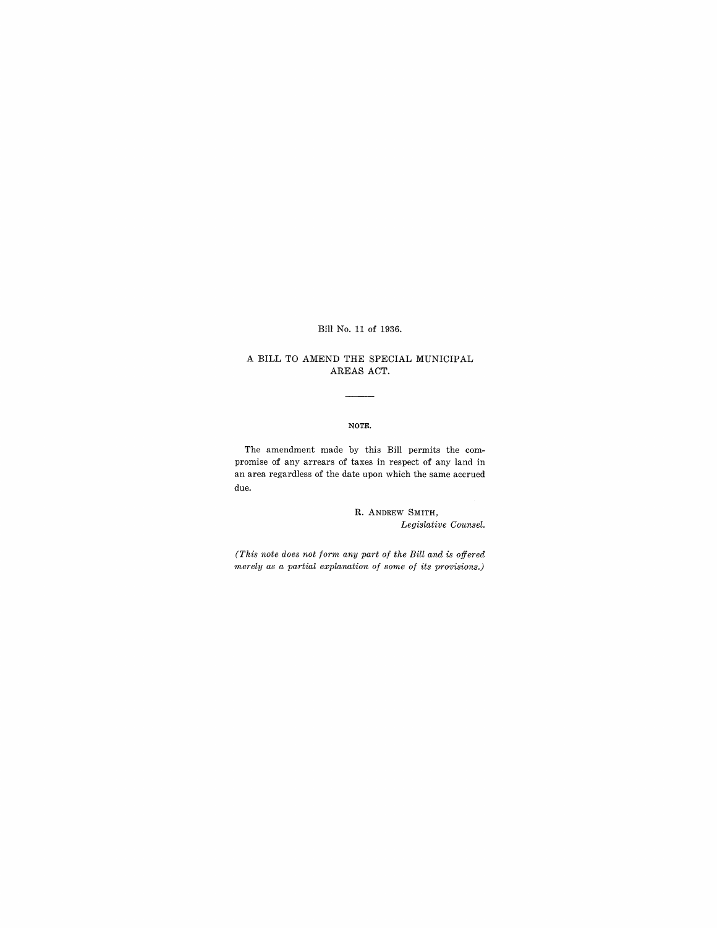Bill No. 11 of 1936.

## A BILL TO AMEND THE SPECIAL MUNICIPAL AREAS ACT.

## NOTE.

The amendment made by this Bill permits the compromise of any arrears of taxes in respect of any land in an area regardless of the date upon which the same accrued due.

> R. ANDREW SMITH, *Legislative Counsel.*

*(This note does not form any part of the Bill and is offered merely as a partial explanation of some of its provisions.)*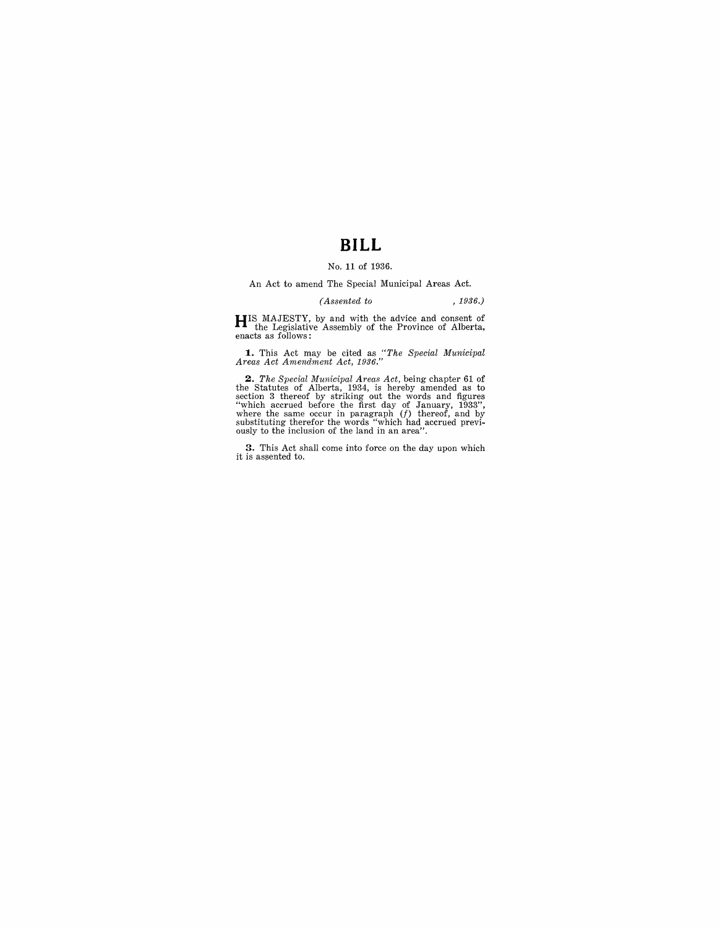# **BILL**

## No. 11 of 1936.

An Act to amend The Special Municipal Areas Act.

#### *(Assented to* , 1936.)

**HIS** MAJESTY, by and with the advice and consent of the Legislative Assembly of the Province of Alberta, enacts as follows:

**1.** This Act may be cited as *"The Special Municipal Areas Act Amendment Act, 1936."* 

**2.** The Special Municipal Areas Act, being chapter 61 of the Statutes of Alberta, 1934, is hereby amended as to section 3 thereof by striking out the words and figures "which accrued before the first day of January, 1933

**3.** This Act shall come into force on the day upon which it is assented to.